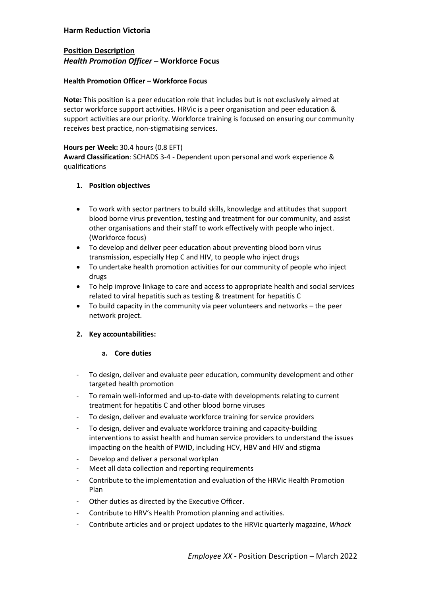# **Harm Reduction Victoria**

# **Position Description**  *Health Promotion Officer* **– Workforce Focus**

## **Health Promotion Officer – Workforce Focus**

**Note:** This position is a peer education role that includes but is not exclusively aimed at sector workforce support activities. HRVic is a peer organisation and peer education & support activities are our priority. Workforce training is focused on ensuring our community receives best practice, non-stigmatising services.

## **Hours per Week:** 30.4 hours (0.8 EFT)

**Award Classification**: SCHADS 3-4 - Dependent upon personal and work experience & qualifications

## **1. Position objectives**

- To work with sector partners to build skills, knowledge and attitudes that support blood borne virus prevention, testing and treatment for our community, and assist other organisations and their staff to work effectively with people who inject. (Workforce focus)
- To develop and deliver peer education about preventing blood born virus transmission, especially Hep C and HIV, to people who inject drugs
- To undertake health promotion activities for our community of people who inject drugs
- To help improve linkage to care and access to appropriate health and social services related to viral hepatitis such as testing & treatment for hepatitis C
- To build capacity in the community via peer volunteers and networks the peer network project.

# **2. Key accountabilities:**

#### **a. Core duties**

- To design, deliver and evaluate peer education, community development and other targeted health promotion
- To remain well-informed and up-to-date with developments relating to current treatment for hepatitis C and other blood borne viruses
- To design, deliver and evaluate workforce training for service providers
- To design, deliver and evaluate workforce training and capacity-building interventions to assist health and human service providers to understand the issues impacting on the health of PWID, including HCV, HBV and HIV and stigma
- Develop and deliver a personal workplan
- Meet all data collection and reporting requirements
- Contribute to the implementation and evaluation of the HRVic Health Promotion Plan
- Other duties as directed by the Executive Officer.
- Contribute to HRV's Health Promotion planning and activities.
- Contribute articles and or project updates to the HRVic quarterly magazine, *Whack*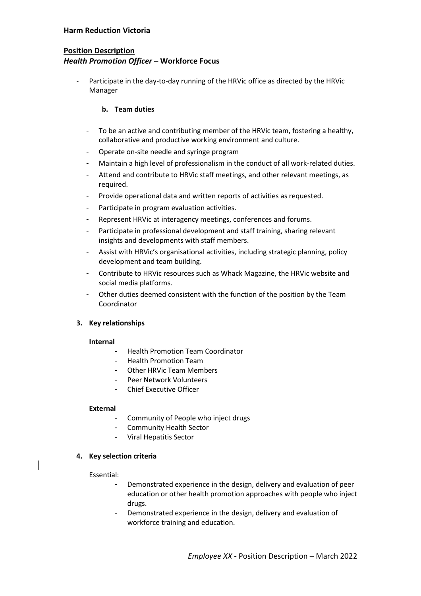# **Harm Reduction Victoria**

# **Position Description**  *Health Promotion Officer* **– Workforce Focus**

Participate in the day-to-day running of the HRVic office as directed by the HRVic Manager

#### **b. Team duties**

- To be an active and contributing member of the HRVic team, fostering a healthy, collaborative and productive working environment and culture.
- Operate on-site needle and syringe program
- Maintain a high level of professionalism in the conduct of all work-related duties.
- Attend and contribute to HRVic staff meetings, and other relevant meetings, as required.
- Provide operational data and written reports of activities as requested.
- Participate in program evaluation activities.
- Represent HRVic at interagency meetings, conferences and forums.
- Participate in professional development and staff training, sharing relevant insights and developments with staff members.
- Assist with HRVic's organisational activities, including strategic planning, policy development and team building.
- Contribute to HRVic resources such as Whack Magazine, the HRVic website and social media platforms.
- Other duties deemed consistent with the function of the position by the Team Coordinator

#### **3. Key relationships**

#### **Internal**

- Health Promotion Team Coordinator
- Health Promotion Team
- Other HRVic Team Members
- Peer Network Volunteers
- Chief Executive Officer

#### **External**

- Community of People who inject drugs
- Community Health Sector
- Viral Hepatitis Sector

#### **4. Key selection criteria**

#### Essential:

- Demonstrated experience in the design, delivery and evaluation of peer education or other health promotion approaches with people who inject drugs.
- Demonstrated experience in the design, delivery and evaluation of workforce training and education.